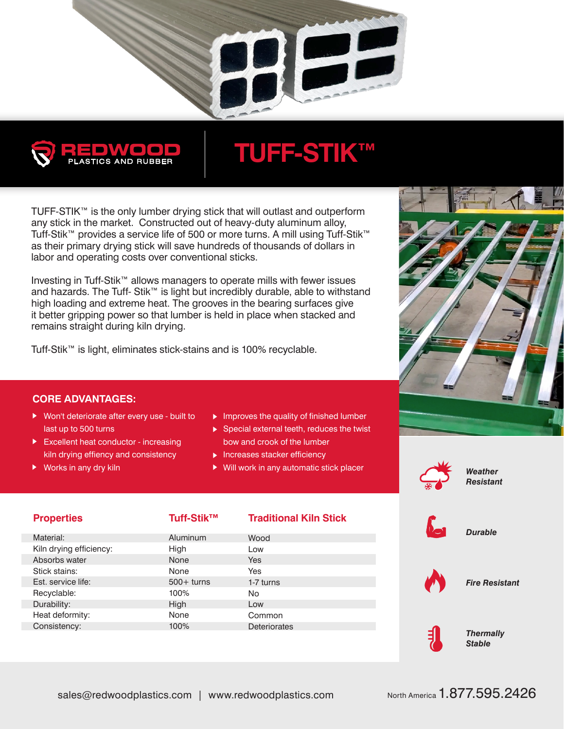



## **TUFF-STIK™**

TUFF-STIK™ is the only lumber drying stick that will outlast and outperform any stick in the market. Constructed out of heavy-duty aluminum alloy, Tuff-Stik™ provides a service life of 500 or more turns. A mill using Tuff-Stik™ as their primary drying stick will save hundreds of thousands of dollars in labor and operating costs over conventional sticks.

Investing in Tuff-Stik™ allows managers to operate mills with fewer issues and hazards. The Tuff- Stik™ is light but incredibly durable, able to withstand high loading and extreme heat. The grooves in the bearing surfaces give it better gripping power so that lumber is held in place when stacked and remains straight during kiln drying.

Tuff-Stik™ is light, eliminates stick-stains and is 100% recyclable.

## **CORE ADVANTAGES:**

- ▶ Won't deteriorate after every use built to last up to 500 turns
- Excellent heat conductor increasing kiln drying effiency and consistency
- ▶ Works in any dry kiln
- $\blacktriangleright$  Improves the quality of finished lumber
- $\triangleright$  Special external teeth, reduces the twist bow and crook of the lumber
- $\blacktriangleright$  Increases stacker efficiency
- Will work in any automatic stick placer



*Weather Resistant*

| <b>Properties</b>       | Tuff-Stik <sup>™</sup> | <b>Traditional Kiln Stick</b> | $\sqrt{2}$ | <b>Durable</b>                    |
|-------------------------|------------------------|-------------------------------|------------|-----------------------------------|
| Material:               | Aluminum               | Wood                          |            |                                   |
| Kiln drying efficiency: | High                   | Low                           |            |                                   |
| Absorbs water           | None                   | <b>Yes</b>                    |            |                                   |
| Stick stains:           | None                   | Yes                           |            |                                   |
| Est. service life:      | $500+$ turns           | 1-7 turns                     |            | <b>Fire Resistant</b>             |
| Recyclable:             | 100%                   | <b>No</b>                     |            |                                   |
| Durability:             | High                   | Low                           |            |                                   |
| Heat deformity:         | None                   | Common                        |            |                                   |
| Consistency:            | 100%                   | <b>Deteriorates</b>           |            |                                   |
|                         |                        |                               |            | <b>Thermally</b><br><b>Stable</b> |